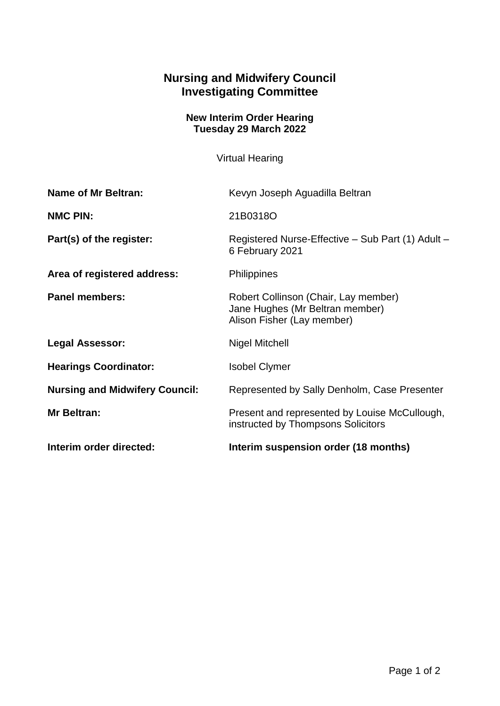## **Nursing and Midwifery Council Investigating Committee**

## **New Interim Order Hearing Tuesday 29 March 2022**

Virtual Hearing

| <b>Name of Mr Beltran:</b>            | Kevyn Joseph Aguadilla Beltran                                                                        |
|---------------------------------------|-------------------------------------------------------------------------------------------------------|
| <b>NMC PIN:</b>                       | 21B0318O                                                                                              |
| Part(s) of the register:              | Registered Nurse-Effective – Sub Part (1) Adult –<br>6 February 2021                                  |
| Area of registered address:           | <b>Philippines</b>                                                                                    |
| <b>Panel members:</b>                 | Robert Collinson (Chair, Lay member)<br>Jane Hughes (Mr Beltran member)<br>Alison Fisher (Lay member) |
| <b>Legal Assessor:</b>                | <b>Nigel Mitchell</b>                                                                                 |
| <b>Hearings Coordinator:</b>          | <b>Isobel Clymer</b>                                                                                  |
| <b>Nursing and Midwifery Council:</b> | Represented by Sally Denholm, Case Presenter                                                          |
| <b>Mr Beltran:</b>                    | Present and represented by Louise McCullough,<br>instructed by Thompsons Solicitors                   |
| Interim order directed:               | Interim suspension order (18 months)                                                                  |